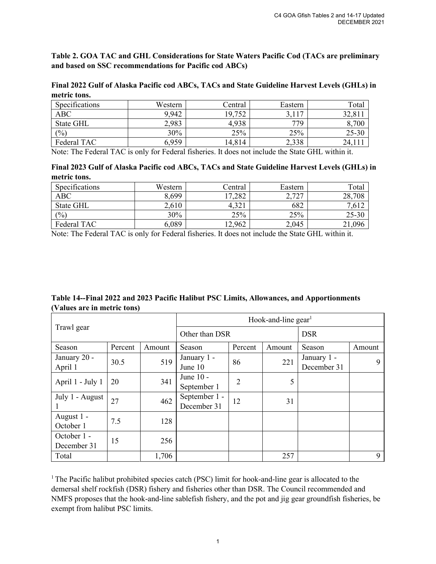**Table 2. GOA TAC and GHL Considerations for State Waters Pacific Cod (TACs are preliminary and based on SSC recommendations for Pacific cod ABCs)**

**Final 2022 Gulf of Alaska Pacific cod ABCs, TACs and State Guideline Harvest Levels (GHLs) in metric tons.**

| Specifications   | Western | Central | Eastern | Total     |
|------------------|---------|---------|---------|-----------|
| <b>ABC</b>       | 9,942   | 19,752  | 3,117   | 32,81     |
| <b>State GHL</b> | 2,983   | 4,938   | 779     | 8,700     |
| (9/0)            | 30%     | 25%     | 25%     | $25 - 30$ |
| Federal TAC      | 6,959   | 14,814  | 2,338   | 24.       |

Note: The Federal TAC is only for Federal fisheries. It does not include the State GHL within it.

**Final 2023 Gulf of Alaska Pacific cod ABCs, TACs and State Guideline Harvest Levels (GHLs) in metric tons.**

| Specifications | Western | Central | Eastern        | Total     |
|----------------|---------|---------|----------------|-----------|
| <b>ABC</b>     | 8,699   | 7,282   | ררד ר<br>2,12, | 28,708    |
| State GHL      | 2,610   | 4,321   | 682            |           |
| (%)            | 30%     | 25%     | 25%            | $25 - 30$ |
| Federal TAC    | 5,089   | 2,962   | 2,045          | 21,096    |

Note: The Federal TAC is only for Federal fisheries. It does not include the State GHL within it.

|                            |         | Hook-and-line gear <sup>1</sup> |                              |         |        |                            |        |
|----------------------------|---------|---------------------------------|------------------------------|---------|--------|----------------------------|--------|
| Trawl gear                 |         |                                 | Other than DSR               |         |        | <b>DSR</b>                 |        |
| Season                     | Percent | Amount                          | Season                       | Percent | Amount | Season                     | Amount |
| January 20 -<br>April 1    | 30.5    | 519                             | January 1 -<br>June 10       | 86      | 221    | January 1 -<br>December 31 | 9      |
| April 1 - July 1           | 20      | 341                             | June 10 -<br>September 1     | 2       | 5      |                            |        |
| July 1 - August            | 27      | 462                             | September 1 -<br>December 31 | 12      | 31     |                            |        |
| August 1 -<br>October 1    | 7.5     | 128                             |                              |         |        |                            |        |
| October 1 -<br>December 31 | 15      | 256                             |                              |         |        |                            |        |
| Total                      |         | 1,706                           |                              |         | 257    |                            | 9      |

**Table 14--Final 2022 and 2023 Pacific Halibut PSC Limits, Allowances, and Apportionments (Values are in metric tons)**

<sup>1</sup> The Pacific halibut prohibited species catch (PSC) limit for hook-and-line gear is allocated to the demersal shelf rockfish (DSR) fishery and fisheries other than DSR. The Council recommended and NMFS proposes that the hook-and-line sablefish fishery, and the pot and jig gear groundfish fisheries, be exempt from halibut PSC limits.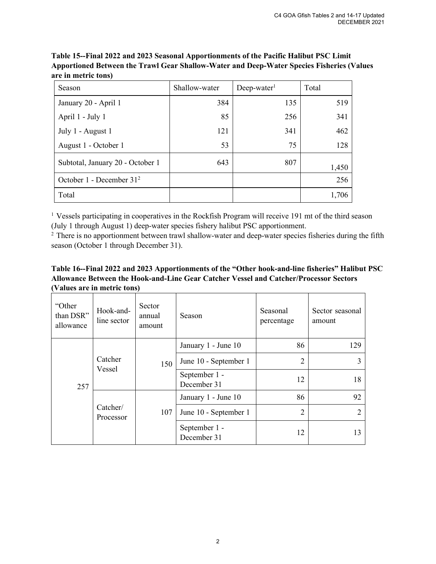| Season                               | Shallow-water | $Deep-water1$ | Total |
|--------------------------------------|---------------|---------------|-------|
| January 20 - April 1                 | 384           | 135           | 519   |
| April 1 - July 1                     | 85            | 256           | 341   |
| July 1 - August 1                    | 121           | 341           | 462   |
| August 1 - October 1                 | 53            | 75            | 128   |
| Subtotal, January 20 - October 1     | 643           | 807           | 1,450 |
| October 1 - December 31 <sup>2</sup> |               |               | 256   |
| Total                                |               |               | 1,706 |

**Table 15--Final 2022 and 2023 Seasonal Apportionments of the Pacific Halibut PSC Limit Apportioned Between the Trawl Gear Shallow-Water and Deep-Water Species Fisheries (Values are in metric tons)**

<sup>1</sup> Vessels participating in cooperatives in the Rockfish Program will receive 191 mt of the third season (July 1 through August 1) deep-water species fishery halibut PSC apportionment.

<sup>2</sup> There is no apportionment between trawl shallow-water and deep-water species fisheries during the fifth season (October 1 through December 31).

**Table 16--Final 2022 and 2023 Apportionments of the "Other hook-and-line fisheries" Halibut PSC Allowance Between the Hook-and-Line Gear Catcher Vessel and Catcher/Processor Sectors (Values are in metric tons)**

| "Other<br>than DSR"<br>allowance | Hook-and-<br>line sector | Sector<br>annual<br>amount | Season                       | Seasonal<br>percentage | Sector seasonal<br>amount |
|----------------------------------|--------------------------|----------------------------|------------------------------|------------------------|---------------------------|
|                                  |                          |                            | January 1 - June 10          | 86                     | 129                       |
| 257                              | Catcher<br>Vessel        | 150                        | June 10 - September 1        | $\overline{2}$         | 3                         |
|                                  |                          |                            | September 1 -<br>December 31 | 12                     | 18                        |
|                                  | Catcher/<br>Processor    | 107                        | January 1 - June 10          | 86                     | 92                        |
|                                  |                          |                            | June 10 - September 1        | $\overline{2}$         | 2                         |
|                                  |                          |                            | September 1 -<br>December 31 | 12                     | 13                        |